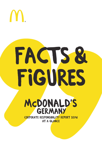

# **faCts & figures McDonald's Germany Corporate responsibility report 2016 at a glanCe**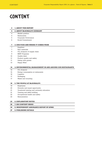# **content**

# **1. About this report**

| 4  | <b>2. ABOUT McDONALD'S GERMANY</b>                        |
|----|-----------------------------------------------------------|
| 4  | Market position                                           |
| 4  | Restaurants                                               |
| 5  | Corporate Governance                                      |
| 6  | Social Commitment                                         |
|    |                                                           |
| 7  | <b>3. OUR FOOD AND WHERE IT COMES FROM</b>                |
| 7  | Suppliers                                                 |
| 7  | Raw materials                                             |
| 9  | $CO2$ footprint of supply chain                           |
| 9  | <b>BEST Programs</b>                                      |
| 10 | Quality label                                             |
| 11 | Product quality and safety                                |
| 11 | Dialog with guests                                        |
| 13 | Happy Meal                                                |
|    |                                                           |
| 14 | 4. ENVIRONMENTAL MANAGEMENT IN AND AROUND OUR RESTAURANTS |
| 14 | CO <sub>2</sub> footprint                                 |
| 15 | Energy consumption at restaurants                         |
| 16 | Logistics                                                 |
| 17 | Packaging                                                 |
| 17 | Waste and recycling                                       |
|    |                                                           |
| 19 | <b>5. THE PEOPLE AT McDONALD'S</b>                        |

- Employees
- Diversity and equal opportunity
- Vocational training and university education
- Training and skills building
- Occupational health and safety
- Remuneration

# **6. Explanatory notes**

| 30 |  | 7. GRI CONTENT INDEX |  |
|----|--|----------------------|--|
|----|--|----------------------|--|

| 34 | 8. INDEPENDENT ASSURANCE REPORT BY KPMG |
|----|-----------------------------------------|
| 37 | <b>9. PUBLISHING DETAILS</b>            |
|    |                                         |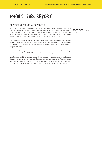# **About this report**

# Reporting period and profile

McDonald's Germany updates and publishes its sustainability data every year. This "Facts & Figures" brochure outlines our key figures and the progress we made in 2016. It supplements McDonald's Germany Corporate Responsibility Report 2016 – At a glance, which we have printed and made available in all restaurants. We publish a full corporate responsibility report every two years. Our last full report came out in 2015.

Our Corporate Responsibility Report 2016 – At a glance publication and this accompanying "Facts & Figures" brochure were prepared in accordance with Global Reporting Initiative (GRI G4) guidelines. Key indicators were audited by KPMG AG Wirtschaftsprüfungsgesellschaft.

McDonald's Germany issued its first declaration of compliance with the German Corporate Governance Code in 2015. We will update this every two years.

All information in this document refers to the restaurants operated directly by McDonald's Germany as well as all restaurants in Germany and Luxembourg run by franchisees and the management of McDonald's Germany. Any other information is highlighted accordingly. In the interests of readability, we do not write out the full legal names of companies.

GRI indicators: G4-28, G4-29, G4-30, G4-32, G4-33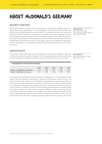# **About McDonald's Germany**

# Market position

McDonald's Germany, Munich branch, manages one of the largest markets within the global McDonald's organization. In total, McDonald's Germany and its franchisees employed around 58,000 people during fiscal 2016. The company achieved net revenue for the year of EUR 3.2 billion. Ten restaurants in Luxembourg are also currently managed by McDonald Germany. Every day, around 2.3 million guests visit the 1,480 restaurants in Germany and Luxembourg. With a share of around 25 %, McDonald's Germany is the clear market leader in the foodservice sector in Germany1 . There were no significant changes to the size, organization or ownership structure of McDonald's Germany during the reporting period.

#### GRI indicators:

G4-3, G4-4, G4-5, G4-6, G4-7, G4-8, G4-9, G4-10, G4-13, G4-17, G4-23, G4-EC1

# **RESTAURANTS**

At the close of fiscal 2016, there were 1,470 McDonald's restaurants of different sizes and in different locations throughout Germany. 1,313 of these (approximately 89 percent) were run by franchisees. In Luxembourg, there were ten restaurants run by one franchisee.

#### T1: **Development of restaurants in Germany**

|                                  | 2012  | 2013  | 2014 | 2015  | 2016 |
|----------------------------------|-------|-------|------|-------|------|
| Number of restaurants in Germany | 1.440 | 1.468 | 1477 | 1 478 |      |
| Number of McCafés in Germany     |       | -847  | 862  | 859   | 852  |

In summer 2016, McDonald's Germany started to redesign all of its restaurants. By the close of 2019, the majority of restaurants in Germany will have been converted to the "restaurant of the future" concept. At the deadline for submissions for this brochure (May 31, 2017), there were 328 "restaurants of the future" in Germany. The concept includes a range of new features. Eating areas, for example, are given a modern, fresh design. We also put the focus firmly on families by offering children's play areas (Playlands) and digital games. Furthermore, guests can order food in a number of different ways at restaurants of the future: either at the front counter, at new, digital order terminals known as kiosks or from service employees with tablet PCs. All products are prepared exclusively to order. The restaurants also offer table service, allowing guests to have their food brought to their table.

GRI indicators: G4-4, G4-5, G4-6, G4-7, G4-8, G4-9, G4-13, G4-17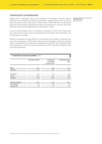# corporate governance

Holger Beeck is Managing Director and President of McDonald's Germany. Marcus Almeling is Vice President and Chief Financial Officer. Gabriele Fanta took on the role of Executive Board member responsible for HR on April 1, 2016. Willi Palm was appointed Executive Board member responsible for regions and operations on the same day. Susan Schramm became Chief Marketing Officer on November 1, 2016.

GRI indicators: G4-34 & LA12

A total of 238 franchisees were in the system at December 31, 2016. 198 of these were men and 40 were women. 57 are second-generation franchisees. Every franchisee runs 5.6 restaurants on average.

Different committees are responsible for communication and strategic collaboration between the management of McDonald's Germany and franchisees in Germany. Franchisees are represented by the Franchisee Leadership Council (FLC). The Leadership Team (LST) supports the work of the Executive Board and the FLC. The LST includes the directors of all departments.

| ASSURED<br>T2: <b>Composition of governance bodies</b> (2016)<br>M |                              |                                           |                          |  |
|--------------------------------------------------------------------|------------------------------|-------------------------------------------|--------------------------|--|
|                                                                    | Executive Board <sup>2</sup> | Franchisee<br>Leadership<br>Council (FLC) | Leadership Team<br>(LST) |  |
| Men                                                                | 60%                          | 80%                                       | 87%                      |  |
| Women                                                              | 40%                          | 20%                                       | 13%                      |  |
| Under 30<br>$30 - 50$                                              | 0%<br>80%                    | $0\%$<br>40%                              | $0\%$<br>80%             |  |
| Over <sub>50</sub>                                                 | 20%                          | 60%                                       | 20%                      |  |
| German national<br>EU national                                     | 100%<br>$0\%$                | 87%<br>13%                                | 100%<br>$0\%$            |  |
| Outside EU                                                         | $0\%$                        | $0\%$                                     | $0\%$                    |  |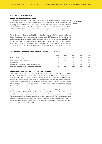# Social commitment

#### **Ronald McDonald House Charities**

The majority of funding for the Ronald McDonald House Charities stems from donations made by McDonald's Germany, its franchisees and suppliers as well as McDonald's restaurant guests. Facilities run by the Ronald McDonald House Charities include 22 Ronald McDonald houses and six Ronald McDonald family rooms across Germany. In 2016, it enabled around 14,800 families to be close to their seriously ill children while they underwent treatment in hospital.

The 2016 charity gala organized by McDonald's Germany in aid of the Ronald McDonald House Charities collected record donations in excess of EUR 1.6 million. Over a million themed plasters were sold during the Trostpflaster (feel-good plaster) campaign, which ran from September 22, 2016 to October 12, 2016 at McDonald's restaurants in Germany and Luxembourg. The entire net proceeds, corresponding to 84 cents from each sale (sale price after sales tax was deducted), goes directly to the Ronald McDonald House Charities.

GRI indicators: G4-SO1

### T3: **Donations to the Ronald McDonald House Charities** (in EUR thousand)

|                                               | 2012  | 2013  | 2014  | 2015  | 2016  |
|-----------------------------------------------|-------|-------|-------|-------|-------|
| McDonald's Germany, franchisees and suppliers | 3.405 | 3.449 | 3.241 | 3.201 | 3.296 |
| Collection boxes in restaurants               | 2.825 | 2.810 | 2.996 | 3.041 | 3.214 |
| Charity gala                                  | 1.352 | 921   | 911   | 923   | 1.604 |
| Charity events (Helping Hands, Trostpflaster) | 751   | 921   | 974   | 1.296 | 961   |
| Total amount donated by McDonald's Germany    | 8.333 | 8.101 | 8.122 | 8.461 | 9.075 |

#### **McDonald's Player Escort & Olympics Kids Programs**

Together with other European McDonald's markets, we gave 1,122 children the opportunity to be McDonald's Player Escorts at the 51 games of the UEFA EURO 2016™ championships in France from June 10 to July 10, 2016. McDonald's Germany made a dream come true for 29 children by enabling them to accompany the players of Germany's national soccer team onto the pitch at the start of their games. Over 2,000 young soccer fans between the ages of six and ten applied online by submitting a video of themselves singing their favorite soccer anthem.

McDonald's has been an official sponsor of the Olympics since 1976. Under the motto "The Spirit of Friendship", McDonald's enabled a total of 100 children from 20 different countries to attend the opening ceremony of the world's biggest sporting event in 2016. Two children from Hamburg were chosen as the Olympics Kids for Germany and were given the chance to participate in the opening ceremony of the 2016 Olympic Games in Rio de Janeiro on August 5. In total, over 80 children from Germany aged between eight and twelve applied to the program.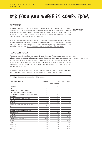# **Our food and where it comes from**

# **SUPPLIERS**

In 2016, we sourced a total of 827 different food and packaging products from 136 different suppliers. McDonald's fosters long-term business relationships inspired by a strong sense of partnership. 79 percent of our purchased volume comes from 30 suppliers that we have worked with for more than 20 years. This includes many well-known brand manufacturers such as Develey, Bonduelle, Lieken and Hochland.

In 2016, we launched a campaign aimed at making our strict supply chain quality standards more transparent for our guests. Under the banner of "Die McDonald's Qualitätskette" (The McDonald's Quality Chain), we are showcasing our key suppliers and the work they do for McDonald's. https://www.mcdonalds.de/qualitaet/qualitaetskette

RAW MATERIALS

We source the majority of our raw materials from Germany. This sourcing approach contributes to a steady stream of fresh ingredients and supports the German agricultural sector. It also reduces the distances goods are transported, which helps reduce our impact on the environment. We rely on established quality labels to ensure products meet key ecological and social standards. This is particularly important for raw materials sourced from outside of Europe.

In 2016, we sourced 64 percent of our raw materials from Germany. 32 percent came from the EU and four percent was sourced from other countries outside of the EU.

| ASSURED<br>T4: <b>Origin of raw materials used in 2016</b> (in percent)<br>⋉ |         |                       |               |
|------------------------------------------------------------------------------|---------|-----------------------|---------------|
| Raw materials from                                                           | Germany | EU<br>(excl. Germany) | Rest of world |
| Potatoes                                                                     | 77%     | 23%                   | $0\%$         |
| Beef                                                                         | 93%     | 7%                    | $0\%$         |
| Wheat flour (for making products)                                            | 90%     | 10%                   | $0\%$         |
| Milk (incl. milk for shakes and sundaes)                                     | 98%     | 2%                    | $0\%$         |
| Tomatoes (incl. tomatoes for ketchup and sauces)                             | $0\%$   | 94%                   | $6\%$         |
| Chicken                                                                      | 19%     | 60%                   | 21%           |
| Oil (for fryers and making products)                                         | 32%     | 67%                   | $1\%$         |
| Lettuce                                                                      | 32%     | 66%                   | 2%            |
| Onions                                                                       | $0\%$   | 98%                   | 2%            |
| Sugar (for portioned packets and making<br>products)                         | 51%     | 48%                   | $1\%$         |
| Pork                                                                         | 89%     | 11%                   | $0\%$         |
| Cheese (incl. processed cheese slices)                                       | 43%     | 45%                   | 12%           |
| Cucumbers                                                                    | 95%     | 5 %                   | $0\%$         |
| Apples                                                                       | 17%     | 76%                   | 7%            |
| Oranges                                                                      | $0\%$   | $0\%$                 | 100%          |
| Eggs (for breakfast products)                                                | 100%    | $0\%$                 | $0\%$         |
| Coffee                                                                       | 0%      | $0\%$                 | 100%          |
| Fish                                                                         | $0\%$   | 39%                   | 61%           |
| Cherries                                                                     | $0\%$   | 57%                   | 43%           |
| Bananas                                                                      | $0\%$   | $0\%$                 | 100%          |
| Shrimps                                                                      | 0%      | $0\%$                 | 100%          |

GRI indicators: G4-12, G4-EC9

GRI indicators: G4-EN1, G4-EC9, G4-FP9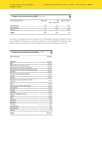| T4: Origin of raw materials used in 2016 (in percent) | ASSURED<br>⊠ |                 |               |
|-------------------------------------------------------|--------------|-----------------|---------------|
| Raw materials from                                    | Germany      | EU              | Rest of world |
|                                                       |              | (excl. Germany) |               |
| Strawberries                                          | 39%          | 0%              | 61%           |
| Bell peppers                                          | 0%           | 100%            | 0%            |
| Quinoa                                                | 0%           | 0%              | 100%          |
| <b>Total</b>                                          | 64%          | 32%             | 4%            |

In winter, we usually source our lettuce from southwestern regions of Europe such as Italy and Spain. However, poor weather conditions in winter 2016/2017 resulted in crop failures, which meant that, at times, we had to buy lettuce from Tunisia and the US.

| T5: Volume of raw materials used in 2016 (in tons)   | ASSURED |
|------------------------------------------------------|---------|
| Raw materials                                        | Volume  |
| Potatoes                                             | 116,964 |
| <b>Beef</b>                                          | 36,673  |
| Wheat flour (for making products)                    | 33,175  |
| Milk (incl. milk for shakes and sundaes)             | 27,182  |
| Tomatoes (incl. tomatoes for ketchup and sauces)     | 22,150  |
| Chicken                                              | 20,091  |
| Oil (for fryers and making products)                 | 17,071  |
| Lettuce                                              | 10,357  |
| Onions                                               | 10,081  |
| Sugar (for portioned packets and making<br>products) | 9,698   |
| Pork                                                 | 6,585   |
| Cheese (incl. processed cheese slices)               | 6,082   |
| Cucumbers                                            | 4.490   |
| Apples                                               | 3,475   |
| Oranges                                              | 2,884   |
| Eggs (for breakfast products)                        | 1,644   |
| Coffee                                               | 1,526   |
| Fish                                                 | 1,066   |
| Cherries                                             | 768     |
| Bananas                                              | 719     |
| Shrimps                                              | 341     |
| <b>Strawberries</b>                                  | 252     |
| Bell peppers                                         | 149     |
| Quinoa                                               | 64      |
| Total                                                | 333,487 |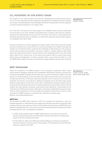# CO<sub>2</sub> FOOTPRINT OF OUR SUPPLY CHAIN

The majority of our carbon footprint (87 percent) originates from the agricultural production of our raw materials and the subsequent processing of foodstuffs. Animal products are a major contributing factor here (see page 14). We are working hard with our suppliers to reduce harmful emissions in our supply chain.

As of July 2017, we source all our fresh eggs for our breakfast menu products exclusively from hens fed on soy from certified sustainable farms in Europe. This reduces transport emissions and ensures that the soy is grown in harmony with nature. It also supports the European agricultural sector. In addition, we have been using free-range chicken eggs for our breakfast menu since 1999.

Around two thirds of our beef originated from dairy cattle in 2016. We sourced the remaining third primarily from young bulls and a small percentage from heifers. Sourcing the majority of our beef from dairy cattle has the advantage of distributing our  $\mathrm{CO}_2^{}$  footprint across milk and meat and therefore lowering it relative to relying solely on beef cattle, which are reared exclusively for meat production and slaughtered after 18 to 24 months. Dairy cattle live for around four to five years and produce milk for around three years before they are slaughtered. In order to produce milk, a cow must give birth to a calf. Our BEST Beef program thus also contributes to longer lifespans among dairy livestock.

# BEST programs

Under the umbrella of our BEST program, we are working to gradually make conventional livestock breeding methods more sustainable. McDonald's Germany launched its forward-looking BEST program several years ago to promote excellence, safety and transparency in cattle breeding. On the one hand, this initiative governs the way we work with the agricultural sector in Germany today, ensuring that we can continue to source the raw materials we need for our products in sufficient quantities and at the same high quality levels for many years to come. And, on the other, it addresses ecological concerns around farming and the growing importance of animal husbandry practices that improve animal welfare and meet general consumer expectations more effectively. These goals can be achieved most effectively through collaboration with all key stakeholders along the value chain in close consultation with the scientific and research community. In future, we aim to expand our BEST program to include all raw materials of animal origin. More at: www.best-programm.de

#### **BEST Beef**

We launched the BEST Beef initiative in 2010. Our program for promoting a more sustainable approach to cattle farming and supporting German agriculture comprises three modules. Farmers that meet the criteria of all modules receive a bonus of EUR 0.09 per kilogram of slaughtered meat. The bonus prices are individually listed in individual invoices, providing farmers with a transparent breakdown.

- • In 2016, meat certified under the BEST Beef Program accounted for around six percent of all beef processed for McDonald's Germany. We have set ourselves the target of further increasing this share.
- • At December 31, 2016, over 2,800 agricultural holdings, six farming cooperatives and seven abattoirs were involved in the program. This represents around 630 extra farmers compared with 2015.

GRI indicators: G4-EN17, G4-FP2

GRI indicators: G4-FP5, G4-FP9, G4-EN1, G4-24, G4-25, G4-26, G4-27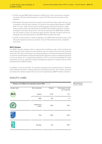- • In 2016, we paid BEST Beef bonuses for 24,054 cows. This is more than in all previous years. We have paid bonuses for a total of 63,739 cows since the start of the program.
- • McDonald's Germany sources the majority of its beef from dairy cattle. As such, our cooperation with the dairy industry is crucial for the ongoing development of BEST Beef. On July 1, 2016, the Zott dairy and McDonald's Germany launched a collaborative project within the framework of the BEST Beef initiative aimed at creating synergies in the agricultural sector. Zott has incorporated the BEST Beef modules into the audits it carries out among its dairy farmers. Farmers will then receive the slaughter price bonuses based on the BEST Beef modules they fulfil.
- • In 2016, we also started to check compliance with BEST Beef modules as part of the QS audits regularly carried out at farms. Around 730 audits have been completed since then.

#### **BEST Chicken**

Our BEST Chicken program aims to improve the conditions under which chickens are reared. We have been working on this initiative with our supply chain and with scientists since 2013. We want to find ways of evolving standards in conventional livestock breeding to promote animal health and species-appropriate behaviors without challenging farmers to such an extent as to compromise progress. In 2017, we will be developing new feed compositions and an optimized energy management system for intensive barns within the framework of BEST Chicken.

In addition to this, by fall 2017, we will have equipped nine intensive farms in Germany with additional perches, roosting platforms and pecking fixtures. All of these measures are results from earlier projects that we are now implementing (BEST Chicken module 1).

| T6: Volume of certified raw materials used in 2016 (in tons)       |                       |        |                                      |  |
|--------------------------------------------------------------------|-----------------------|--------|--------------------------------------|--|
| Quality label                                                      | Raw materials         | Volume | Percentage of total<br>raw materials |  |
| BZ<br>nach<br>EG-Öko-Verordnung                                    | Apples                | 2,126  | 61%                                  |  |
|                                                                    | Milk                  | 252    | $1\%$                                |  |
|                                                                    | Caffeinated<br>coffee | 1,526  | 100%                                 |  |
| ZERTIFIZIERTE<br>NACHHALTIGE<br>FISCHEREI<br>MSC<br>www.msc.org/de | Fish                  | 1,066  | 100%                                 |  |
| <b>FISCHZUCHT</b><br><b>asc</b>                                    | Shrimps               | 341    | 100%                                 |  |

# Quality label

GRI indicators: G4-FP2, G4-EN1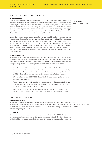# PRODUCT QUALITY AND SAFETY

#### **At our suppliers**

Food quality and safety are top priorities for us. We can trace every product and its ingredients every step of the way back to its specific origins within a few hours. When producing food for McDonald's, our direct suppliers must comply with the standards set down in the McDonald's Supplier Quality Management System (SQMS). SQMS is our own guideline outlining standards for quality assurance and food safety among direct suppliers. It builds on conventional GFSI standards<sup>3</sup> (IFS, BRC, FSSC 22000), complementing these with a number of requirements specific to McDonald's.

All suppliers of standard products are audited in line with SQMS. Only suppliers that successfully pass these audits can become standard suppliers for McDonald's. Promotional product suppliers have to be audited either to the International Food Standard (IFS) and/ or the British Retail Consortium (BRC) standard, or according to the ten core requirements of the SQMS. In individual cases, we also accept a supplier's own standards, provided they correspond with McDonald's own requirements. In total, 106 SQMS audits were carried out in 2016. 72 of these were full SQMS audits and 34 were audits based on the ten core requirements.

### **In our restaurants**

In 2016, we used roughly the same checks and standards to assess quality, service, cleanliness and food safety as those used in previous years. The only exception here is the evaluation of guests' restaurant experiences. Rather than using mystery shoppers, we now give our guests the opportunity to evaluate their experiences themselves.

- • From November 2016 on, each guest can rate their visit to McDonald's online. Every receipt contains an access code that can be entered at www.mcdonalds.de/ deinfeedback. Guests can then rate a range of factors such as quality, cleanliness and friendliness. They can also leave praise or suggestions for improvement.
- We carried out a total of 845 ATCQ checks<sup>4</sup> in 2016 to assess the quality of our core products in restaurants.
- • As part of our own food safety audits, we took a total of 41,051 samples in 2016 and had these tested in a recognized, accredited laboratory. In addition to this, we carried out 274 unannounced food safety audits.
- • Our own checks are flanked by regular inspections from local authorities. In 2016, the authorities made 170 visits to restaurants run directly by McDonald's Germany.

# Dialog with guests

### **McFamily Fun Days**

In 2016, we organized a total of 607 McFamily Fun Days in selected restaurants. Launched in 2014, these family days provide fun and games for children and their families. The restaurants hosting these events offer a wide range of activities including bouncy castles, face painting and photo booths.

### **Live@McDonalds**

The Live@McDonald's social media event took place on October 15, 2016. 750 restaurants in Germany held backstage tours, giving guests a chance to take a look behind the scenes at McDonald's. One restaurant in Berlin staged a 12-hour show, which was broadcast live

GRI indicators: G4-PR1, G4-PR5, G4-FP5

GRI indicators: G4-24, G4-25, G4-26, G4-27, G4-PR5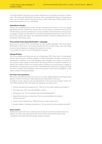on the McDonald's Germany social media channels and on television monitors in restaurants. The event saw McDonald's Germany offer unprecedented levels of transparency, with over six million people viewing the show online. More than 20,000 guests took a behind-the-scenes tour at our restaurants.

#### **Ingredients checker**

During the Live@McDonald's event, we also announced the launch of our new digital ingredients checker. Guests who want to find out more about our products can now scan the QR codes on product packaging to access a website with information on the product in question. Guests can also select the individual ingredients listed here to find out more about their quality and origin. The ingredients checker is another building block in our transparent information policy.

### **"The tasteful truth about McDonald's" campaign**

At the end of January 2017, we launched our new quality campaign "The Truth about McDonald's". Since then, we've been playing with the concept of fake news and using common misconceptions to highlight the quality of our food. You can find out more at www.mcdonalds.de/wahrheit

#### **Change-M blog**

The www.change-m.de blog was set up in September 2015. Since then, a cross-departmental team has been working together to help McDonald's Germany become more sustainable. In addition to the core bloggers, guest bloggers from inside and outside of the company make regular contributions. The blog provides an interactive platform for anyone who wants to follow our journey, reflect critically on our performance, engage in discussions or simply find out more about what McDonald's Germany is doing and what we want to change. We published a total of 63 articles in 2016 and are delighted to see visitor numbers increasing steadily.

#### **Our food. Your questions.**

We answer all questions about our food on our online dialog platform www.frag.mcdonalds.de. In 2016, we received 1,840 questions and responded to each one. In addition to this, visitors to the site selected the "I have the same question" button for over 2,000 questions. The most important issues for our guests were:

- • Product requests and questions (e.g. "Why don't you make a gluten-free burger?")
- • The menu (e.g. "How does the McMenu work?")
- Preparation (e.g. "Do you prepare pork and beef separately?")
- • Ingredients and exact content (e.g. "Do you use emulsifiers from plant or animal sources?")
- • Origin of raw materials (e.g. "Where does your meat come from?")
- • Animal welfare / breeding methods (e.g. "Do you know how the animals are bred?")

#### **Guest service**

McDonald's guest service is a central contact point for customer questions and complaints. Our team was contacted 61,947 times in 2016. Around half of these were complaints. The other half were specific queries or praise.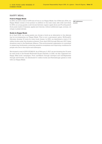# Happy Meal

### **Fruit in Happy Meals**

In 2016, we sold a total of 3,474 tons of fruit in our Happy Meals. As of February 2014, our Happy Meals contain a fruit product in addition to the main meal, side order and drink. In 2016, our young guests could choose between organic apple slices and Fruchtquatsch (fruit puree made of bananas, apples and cherries, without additional sugar, aromas, colorings or preservatives).

GRI indicators: G4-EN1

# **Books in Happy Meals**

As of April 2016, our young guests can choose a book as an alternative to the alternating toy accompanying our Happy Meals. This is now a permanent option. McDonald's Germany donates 10 cents for every book chosen. In 2016, we distributed a total of 1.6 million books under this donation scheme). From April 2016 through February 2017, these donations went to the Rainforest Alliance. This environmental organization is committed to preserving biodiversity, protecting sensitive ecosystems and improving conditions for people who live in the tropics and subtropics.

We donated a total of EUR 187,869.50. As of February 3, 2017, we are donating the 10 cents for each book to the Ronald McDonald House Charities. In 2016, we also organized two Happy Meal book campaigns. From mid-March through mid-April and mid-September through mid-October, we distributed 6.1 million books and Ravensburger games in total with our Happy Meals.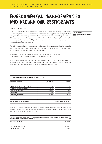# **Environmental management in and around our restaurants**

# CO<sub>2</sub> FOOTPRINT

Looking at the McDonald's Germany value chain as a whole, the majority of  $\mathrm{CO}_2^{}$  emissions resulting from our business activities stems from our supply chain. Food production (i.e. agriculture and subsequent raw materials processing) accounts for 87 percent of our  $\mathrm{CO}_2$  footprint. A further five percent result from the production of packaging and toys for Happy Meals. Three percent of CO $_{\textrm{\tiny{2}}}$  emissions stems from the transport of goods between our suppliers and our restaurants.

The CO $_2^{}$  emissions directly generated by McDonald's Germany and our franchisees make up five percent of our carbon footprint overall. These emissions result from the operation of restaurants and from our administration activities.

In 2016, our business activities generated a total of 1.3 million tons of  $\mathrm{CO}_2$ . This corresponds to 2.7 kilograms of  $\mathrm{CO}_2^{}$  per restaurant visit.

In 2016, we changed the way we calculate our  $\mathrm{CO}_2$  footprint. As a result, the current figures are not comparable with figures published in the past. Further details on the new calculation method are available on page 24 of the explanatory notes.

| T7: CO <sub>2</sub> footprint for McDonald's Germany (2016) |                   |       |  |
|-------------------------------------------------------------|-------------------|-------|--|
| Source of emissions                                         | $CO2$ e (in tons) | Share |  |
| Restaurants and administration                              | 70,048            | 5%    |  |
| Agriculture and processing                                  | 1,126,206         | 87%   |  |
| Packaging and toys                                          | 65,813            | 5%    |  |
| Transport                                                   | 39,452            | 3%    |  |
| <b>Total CO</b> , footprint                                 | 1,301,519         | 100%  |  |
|                                                             |                   |       |  |

| CO <sub>2</sub> emissions per restaurant visit | 2,7 Kilogram / guest count |
|------------------------------------------------|----------------------------|
|                                                |                            |

Since 2014, we have transitioned almost all restaurants in Germany to green energy. As a result, we generate around 98 percent less CO $_2^{}$  than we would do if our consumption was based on Germany's typical energy mix.

| <b>T8: CO<sub>2</sub></b> emissions from energy consumed by restaurants according to Scope 2 of the $\frac{453000}{\text{C}}$ Greenhouse Gas Protocol (GHGP) in 2016 |                  |  |  |  |
|----------------------------------------------------------------------------------------------------------------------------------------------------------------------|------------------|--|--|--|
| Calculation method                                                                                                                                                   | $CO2e$ (in tons) |  |  |  |
| Location-based method                                                                                                                                                | 260,891          |  |  |  |
| Market-based method                                                                                                                                                  | 4.569            |  |  |  |

GRI indicators: G4-EN15, G4-EN16, G4-EN17, G4-EN18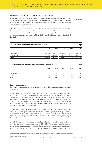# Energy consumption at restaurants

In 2016, the 1,480 McDonald's restaurants in Germany and Luxembourg consumed a total of 536,733 megawatt hours of electricity. This corresponds to an average annual consumption of 362 megawatt hours of electricity for a comparable restaurant . The level was thus consistent with the previous year.

GRI indicators: G4-EN3

1,196 of our restaurants use natural gas, with 245,171 megawatt hours consumed in 2016. On average, this equates to annual natural gas consumption of 206 megawatt hours for a comparable restaurant. The 5-percent increase relative to the previous year is due in part to the comparatively warm winter of 2015, which meant less heating was required in 2015 than in 2016.

| T9: Total energy consumption of restaurants (in MWh) |         |         |         |         | ASSURED<br>$\triangledown$ |
|------------------------------------------------------|---------|---------|---------|---------|----------------------------|
|                                                      | 2012    | 2013    | 2014    | 2015    | 2016                       |
| Electricity <sup>6</sup>                             | 576.224 | 558.157 | 546,540 | 534.986 | 536,733                    |
| Natural gas <sup>7</sup>                             | 249.240 | 248.252 | 200,673 | 232.167 | 245.171                    |
| <b>Total</b>                                         | 825,464 | 806,409 | 747.213 | 767,153 | 781,904                    |
|                                                      |         |         |         |         |                            |

| T10: Average energy consumption of a comparable restaurant (in MWh) |      |      |      | ASSURED<br>$\triangledown$ |      |
|---------------------------------------------------------------------|------|------|------|----------------------------|------|
|                                                                     | 2012 | 2013 | 2014 | 2015                       | 2016 |
| Electricity <sup>6</sup>                                            | 406  | 386  | 372  | 362                        | 362  |
| Natural gas <sup>7</sup>                                            | 233  | 228  | 184  | 196                        | 206  |
| <b>Total</b>                                                        | 639  | 614  | 556  | 558                        | 568  |

### **Energy management**

Our energy management activities are based on control systems and regular restaurant inspections.

Electricity meters are installed in almost all McDonald's restaurants in Germany. These record energy consumption values every 15 minutes, which we then evaluate and use to identify optimization potential, taking into consideration a variety of parameters such as the age of the building in question. McDonald's Germany works with energy service provider EEP Energieconsulting. The company's technology team visits restaurants to assess the actual situation on the ground and ensure that modifications and renovation work is carried out seamlessly and in good time.

We converted around 50 restaurants to LED lighting in 2016. This reduces energy consumption by over 60 percent compared with conventional lighting technology. Air conditioning systems account for around one third of energy consumption in our restaurants. We replaced 61 old systems in 2016. This can reduce total energy consumption by up to 15 percent.

In 2016, all company-owned restaurants and our administration offices were certified in line with the energy management system ISO 50001. This standard enables us to enhance our energy management system and raise awareness around energy-saving opportunities within the company. In 2017, we aim to save 160,000 kilowatt hours of electricity.

<sup>6</sup> Electricity consumption of all restaurants open in Germany and Luxembourg. Projection based on all restaurants open all year round with valid electricity consumption data available (2016: 1,431 restaurants).

7Natural gas consumption of all restaurants open in Germany and Luxembourg using natural gas. Projection based on all restaurants open all year round with valid natural gas consumption data available (2016: 1,024 restaurants).

<sup>5</sup> A comparable restaurant refers to a restaurant open all year round during the period under review with valid consumption data available.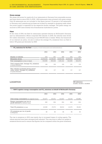#### **Green energy**

We obtain the power for nearly all of our restaurants in Germany from renewable sources and have done so since 2014. In 2016, 1,454 restaurants were powered with green energy. Only 26 restaurants are not included in this figure (around 1.8 percent of all restaurants in Germany and Luxembourg) as these are located for example in shopping malls where the power supply is organized by the respective facility manager. The green energy we sourced in 2016 came entirely from Scandinavian hydroelectric power.

#### **Fleet**

At the close of 2016, the fleet for restaurants operated directly by McDonald's Germany and our administration offices comprised 354 vehicles. In 2016, the vehicles were driven 15.5 million kilometers, consuming around 835,000 liters of diesel. Within the framework of our internal car policy, we aim to reduce the average  $\mathrm{CO}_2$  emissions from our fleet to below 100 grams per kilometer by 2020.

| T11: CO <sub>2</sub> emissions for the fleet (company-owned restaurants and administration)                     |            |            |            |            |            |
|-----------------------------------------------------------------------------------------------------------------|------------|------------|------------|------------|------------|
|                                                                                                                 | 2012       | 2013       | 2014       | 2015       | 2016       |
| Number of vehicles                                                                                              | 443        | 467        | 468        | 400        | 354        |
| Kilometers driven                                                                                               | 13,019,533 | 15,158,047 | 16,655,036 | 14,839,922 | 15,518,583 |
| Fuel consumption (in liters of diesel)                                                                          | 919.999    | 990.636    | 1,001,412  | 922.899    | 834,678    |
| Total company fleet: Average CO <sub>2</sub> emissions<br>(in grams/kilometer)                                  | 136        | 130        | 125        | 121        | 119        |
| New vehicles purchased during period<br>under review: Average CO <sub>2</sub> emissions<br>(in grams/kilometer) | 130        | 117        | 119        | 117        | 117        |

# LOGISTICS GRI indicators:

G4-EN4, G4-EN17, G4-EN30

| T12: HAVI Logistics energy consumption and CO, emissions on behalf of McDonald's Germany |         |         |         |         |         |  |
|------------------------------------------------------------------------------------------|---------|---------|---------|---------|---------|--|
|                                                                                          | 2012    | 2013    | 2014    | 2015    | 2016    |  |
| Total energy consumption (in megawatt hours)                                             | 131,477 | 123.011 | 112.637 | 113.119 | 110,880 |  |
| Energy consumption per ton of<br>goods delivered (in kilowatt hours)                     | 260     | 264     | 254     | 262     | 254     |  |
| Total CO <sub>2</sub> emissions (in tons)                                                | 40.380  | 37,273  | 38.012  | 41.270  | 39,452  |  |
| CO <sub>2</sub> emissions per ton of goods<br>(in kilograms)                             | 80      | 80      | 86      | 96      | 90      |  |

The rise in emissions in 2015 was mainly due to increased losses of cooling agents. The values reported have been retrospectively adjusted. This was done to reflect an update to emissions factors and to ensure that figures can be compared within the given timeframe.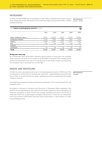# **PACKAGING**

In 2016, we used 45,889 tons of packaging in total. Paper, cardboard and carton accounted for 70 percent of this. 100 percent of our fresh fiber paper is sourced from FSC- or PEFCcertified forestries.

GRI indicators: G4-EN1, G4-FP2

| T13: Volume of packaging by material (in tons) |        |        |        |        | ASSURED<br>M |
|------------------------------------------------|--------|--------|--------|--------|--------------|
|                                                | 2012   | 2013   | 2014   | 2015   | 2016         |
|                                                |        |        |        |        |              |
| Paper, cardboard, carton                       | 37,575 | 35,060 | 33,511 | 32,218 | 32,093       |
| Compound material                              | 9,129  | 7,950  | 7,553  | 7,670  | 7,170        |
| Plastics                                       | 6,380  | 6,540  | 6,047  | 5,597  | 6,198        |
| Foil                                           | 105    | 403    | 462    | 444    | 373          |
| Tinplate                                       |        |        |        |        | 2            |
| Aluminum                                       | 41     | 38     | 63     | 60     | 54           |
| <b>Total</b>                                   | 53,230 | 49.991 | 47.636 | 45,990 | 45.890       |

#### **Bring your own cup**

As of November 2016, McDonald's Germany allows guests to bring their own reusable clean cups and use them for hot drinks at all McCafés in Germany. The company gives guests who bring their own cups a 10 cent discount on hot drinks. Guests can bring their own reusable cups or purchase one in a McCafé.

# WASTE AND RECYCLING

In 2016, the total waste generated by all of our restaurants amounted to 76,653 tons. This corresponds to around 52 tons annually per restaurant – approximately six percent less than in 2015. At around 42 percent, paper, cardboard and carton represented the largest category of waste.

GRI indicators: G4-EN23

Our employees separate all waste produced by restaurants. This is then fed back into the materials cycle.

According to Germany's Avoidance and Recovery of Packaging Waste legislation (VerpackV), we are responsible for the collection and proper disposal of all the packaging we bring into circulation. In 2016, 10,730 tons of paper, cardboard and carton (33 percent of total) and 5,342 tons of lightweight packaging (39 percent of total) left our restaurants with to-go products. McDonald's Germany pays license fees to a dual system for these to-go packaging items.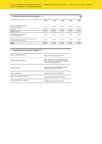| T14: Volume of waste by material category (in tons)                          |        |        |        |        | ASSURED<br>$\overline{\mathsf{W}}$ |
|------------------------------------------------------------------------------|--------|--------|--------|--------|------------------------------------|
|                                                                              | 2012   | 2013   | 2014   | 2015   | 2016                               |
| Paper, cardboard, carton<br>incl. to-go packaging                            | 37.575 | 35,060 | 33.511 | 32.218 | 32,093                             |
| Used oil                                                                     | 16,428 | 16,747 | 16,850 | 16.861 | 12,300                             |
| Organic waste                                                                | 14.784 | 15,072 | 15,164 | 15,174 | 15,195                             |
| Lightweight packaging<br>incl. to-go packaging                               | 15.655 | 14.931 | 14.125 | 13.772 | 13.796                             |
| Other waste (waste destined for recovery and<br>waste destined for disposal) | 2.558  | 2.608  | 2.624  | 3,264  | 3,268                              |
| <b>Total</b>                                                                 | 87,000 | 84,418 | 82,274 | 81,289 | 76,652                             |

### T15: **Recycling rates by material category** (2016)

| Paper, cardboard, carton    | Rate of material recycling: 77%                                                                              |
|-----------------------------|--------------------------------------------------------------------------------------------------------------|
| Lightweight packaging       | Rate of material recycling of plastics:<br>70%; composite materials: 63%; alumi-<br>num 73% and tinplate 77% |
| Organic waste               | Largely used for electricity and heat<br>generation in biogas plants                                         |
| Used cooking oil            | Largely converted to biodiesel                                                                               |
| Waste destined for recovery | Largely used to generate energy                                                                              |
| Waste destined for disposal | Largely used to generate heat                                                                                |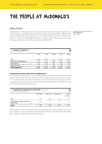# **The people at McDonald's**

# **EMPLOYEES**

McDonald's is the largest employer in the German restaurant business. Together with our franchisees, we employed a total of 58,247 people in Germany in 2016. 49,860 of these people worked in the 1,313 restaurants run by our franchisees and 7,874 in the 157 restaurants run directly by McDonald's Germany (company-owned restaurants). McDonald's Germany employed a further 513 administrative staff in 2016.

GRI indicators: G4-9, G4-10

|        |        |        |        | <b>ASSURED</b><br>$\overline{\mathsf{W}}$ |
|--------|--------|--------|--------|-------------------------------------------|
| 2012   | 2013   | 2014   | 2015   | 2016                                      |
|        |        |        |        |                                           |
|        |        |        |        | 48,666                                    |
| 7.695  | 7.575  | 7.484  | 7.528  | 7,604                                     |
| 2.147  | 1,892  | 1,601  | 1,456  | 1,464                                     |
| 556    | 583    | 563    | 534    | 513                                       |
| 63,886 | 60.946 | 57,438 | 58.011 | 58,247                                    |
|        | 53,488 | 50,896 | 47.790 | 48.493                                    |

#### **Employment status and period of employment**

At the close of 2016, 32 percent of people employed in company-owned restaurants were full-time staff, 42 percent were part-time staff, 14 percent were on short-term contracts and 12 percent had "mini-jobs". 88 percent of the 513 administrative employees were working in full-time positions and 12 percent in part-time positions. The distribution was thus consistent with the previous year.

| T17: <b>Employees by employment status 2016</b> <sup>*</sup> (in percent)<br>*Company-owned restaurants only |     |     |       |       |  |  |
|--------------------------------------------------------------------------------------------------------------|-----|-----|-------|-------|--|--|
| Full time<br>Part time<br>Short-term                                                                         |     |     |       |       |  |  |
| Crew                                                                                                         | 23% | 48% | 16%   | 13%   |  |  |
| Restaurant management and<br>apprentices                                                                     | 91% | 7%  | $1\%$ | $1\%$ |  |  |
| <b>Total</b>                                                                                                 | 32% | 42% | 14%   | 12.%  |  |  |

At December 31, 2016, the average period of employment for crew members and restaurant managers at our company-owned restaurants was five and ten years respectively. The average for administrative staff was 14 years.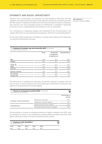# Diversity and equal opportunity

Together with our franchisees, we employed over 800 refugees in 2016 alone. We offer migrants work opportunities and also provide assistance during the onboarding process. We offer support completing formalities with the local authorities and help our employees learn German. Our online language training tool "McDeutsch" is available to employees across the country, complementing local initiatives run by our franchisees.

GRI indicators: G4-LA10, G4-LA12, G4-SO1

Our commitment to integrating refugees was recognized by the US government in December 2016 when we were presented the prestigious "Award for Corporate Excellence".

At the close of 2016, people from 124 different countries were working at the restaurants run directly by McDonald's Germany.

| T18: Employees by gender, age and nationality 2016* (in percent)<br>*Excluding franchisee restaurants | ASSURED<br>M |                                           |                |
|-------------------------------------------------------------------------------------------------------|--------------|-------------------------------------------|----------------|
|                                                                                                       | Crew         | Restaurant<br>management<br>& apprentices | Administration |
| Men                                                                                                   | 48%          | 55%                                       | 49%            |
| Women                                                                                                 | 52%          | 45%                                       | 51%            |
| Under 30                                                                                              | 48%          | 37%                                       | 10%            |
| 30-50                                                                                                 | 41%          | 53%                                       | 66%            |
| Over <sub>50</sub>                                                                                    | 11%          | 10%                                       | 24%            |
| German national                                                                                       | 43%          | 74%                                       | 93%            |
| EU national                                                                                           | 22%          | 10%                                       | 6%             |
| Outside EU                                                                                            | 35%          | 16%                                       | $1\%$          |

The distribution of employees by nationality and gender remained consistent with the previous year. In terms of age structure, the average age of employees in restaurant management and administration increased slightly.

| T19: <b>Women in management positions 2016</b> <sup>*</sup> (in percent)<br>*Excluding franchisee restaurants |                                   | ASSURED                |
|---------------------------------------------------------------------------------------------------------------|-----------------------------------|------------------------|
|                                                                                                               |                                   | Percentage of<br>women |
|                                                                                                               | Restaurant managers               | 39%                    |
| Company-owned restaurants                                                                                     | Assistants and shift leaders      | 46%                    |
|                                                                                                               | Department and team leaders       | 33%                    |
| Administration                                                                                                | Executive Board & senior managers | 20%                    |

The percentage of women in managerial positions is largely consistent with 2015, with the exception of women in top management positions (Executive Board and senior managers), where the number of women increased by seven percent.

| T20: <b>Employees with disabilities</b> *<br>*Excluding Luxembourg |      | ASSURED |      |      |  |
|--------------------------------------------------------------------|------|---------|------|------|--|
| 2012                                                               | 2013 | 2014    | 2015 | 2016 |  |
| 828                                                                | 863  | 838     | 833  | 878  |  |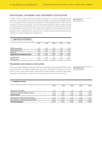# Vocational training and university education

In 2016, a total of 1,464 trainees and students took part in our three training programs: Specialist in the hospitality services industry (Fachkraft im Gastgewerbe, FKGS), expert in the foodservice sector (Fachmann/Fachfrau für Systemgastronomie, FASY) and our combined work/study program. As such, McDonald's Germany offers suitable training for all school-leavers. All training paths can also be completed on a part-time basis. In 2016, we offered jobs to 79 percent of our trainees and students in the combined work/study program. After completing their training and/or studies, most trainees and students go straight to a career in restaurant management.

GRI indicators: G4-LA9, G4-LA10

| 2012  | 2013  | 2014  | 2015  | 2016  |
|-------|-------|-------|-------|-------|
|       |       |       |       |       |
| 513   | 449   | 360   | 338   | 358   |
| 1480  | 1296  | 1095  | 995   | 992   |
| 154   | 147   | 146   | 123   | 114   |
| 2.147 | 1.892 | 1.601 | 1.456 | 1.464 |
| 641   | 635   | 581   | 457   | 396   |
| 76%   | 78%   | 75%   | 74%   | 79%   |
|       |       |       |       |       |

# Training and skills building

We train management-level restaurant staff at our regional training centers in Berlin, Hamburg, Offenbach and Munich. McDonald's also has a Hamburger University in Munich, which is one of seven McDonald's Corporation training centers worldwide. Restaurant managers, administration employees and franchisees are trained at the university.

GRI-Indikatoren: G4-LA9, G4-LA10

#### T22: **Employee courses**

|                                           | 2012   | 2013  | 2014   | 2015   | 2016   |
|-------------------------------------------|--------|-------|--------|--------|--------|
| Hamburger University                      | 100    | 81    | 136    | 165    | 174    |
| Courses at regional training centers      | 1.299  | 1.266 | 1.201  | 1.857  | 1.200  |
| <b>Total courses</b>                      | 1.399  | 1.347 | 1.337  | 2.022  | 1.374  |
| Participants at Hamburger University      | 1.844  | 1.564 | 1.796  | 1.894  | 1.946  |
| Participants at regional training centers | 8.928  | 8.353 | 9.236  | 13,268 | 9,592  |
| <b>Total participants</b>                 | 10.772 | 9.917 | 11.032 | 15.162 | 11,538 |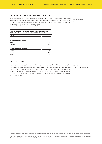# Occupational health and safety

In 2016, there were 23.2 work-related injuries per 1,000 full-time employees<sup>8</sup> that required reporting in company-owned restaurants. This figure is lower than in the previous year (2015: 24.2). It is also significantly lower than the BGN average, which stands at 34.9 workrelated injuries per 1,000 full-time employees.<sup>9</sup>

GRI indicators: G4-LA6, G4-LA7

| $_{\mathtt{120}}$ , wolk-ithree accluents that it quile it politing zo it<br>(per 1,000 full-time employees) *Excluding franchisee restaurants |      |
|------------------------------------------------------------------------------------------------------------------------------------------------|------|
| Total                                                                                                                                          | 23.2 |
| <b>Distribution by gender</b>                                                                                                                  |      |
| Men                                                                                                                                            | 47%  |
| Woman                                                                                                                                          | 53%  |
|                                                                                                                                                |      |

T23: **Work-related accidents that require reporting 2016\*** 

| Distribution by age group |        |
|---------------------------|--------|
| Under 30                  | $41\%$ |
| 30-50                     | 46%    |
| Over 50                   | 13%    |

# **REMUNERATION**

Men and women are, of course, eligible for the same pay scale within the framework of our collective wage agreement. The agreed entry-level wage at June 1, 2016, was EUR 8.60 per hour in line with the collective wage agreement. We are also rapidly aligning wages in eastern and western Germany and increasing pay for apprentices. The wage agreements are available on the BdS website at www.bundesverband-systemgastronomie.de/tarifvertraege.html

GRI-Indikatoren:

G4-11, G4-16, G4-EC5, G4-LA2

<sup>8</sup> We express accident figures in terms of work-related accidents that require reporting per 1,000 full-time employees. The BGN defines a full-time employee as an employee who works 1,600 hours a year.

<sup>9</sup> BGN: "Starker Partner der Betriebe – Jahrbuch Prävention 2016 / 2017" (BGN: Strong partner to businesses – Prevention report 2016/2017). The average BGN value refers to 2015. This was the most up-to-date figure available at the deadline for submissions for this report.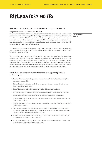# **Explanatory notes**

# Section 3: Our food and where it comes from

#### **Origin and volume of raw materials used**

To calculate the annual volume of raw materials used for the production of our food products, we carried out a survey of all food suppliers to McDonald's Germany that supplied us with at least EUR 100,000 worth of products during the period under review (corresponds to around 85 percent of our suppliers). The survey gathers information on key raw materials. Key raw materials are defined as the ingredients that make up at least 80 percent of total contents in a food product.

The overview in this report covers the largest raw material groups by volume as well as raw materials that are particularly relevant to sustainability (e.g. raw materials certified in line with specific labels).

Butter, milk, eggs, sugar, salt and oil are used in many of our food products. However, they are often not regarded as key raw materials as per the definition above. As a result, only some of the data on these raw materials is included in our analysis. Furthermore, in some cases, we do not have any data – or only inaccurate data – on certain raw materials that would otherwise be deemed relevant according to the above criteria. As a result, these raw materials may have been omitted entirely or only included to a limited extent.

# **The following raw materials are not included or only partially included in the analysis:**

- • Apples: Volumes for the fizzy apple juice drink manufactured by Lift are not given as no data is available.
- • Butter: Not included in the analysis as a representative amount of data is not collected (not a key ingredient).
- • Eggs: The figures only refer to eggs in our breakfast menu products.
- • Coffee: Volumes for decaffeinated coffee are very low and therefore not included.
- • Cocoa: Not included in the analysis as no representative data is available.
- • Milk: The volumes used in baked goods (e.g. for McCafé products) are not recorded (not a key ingredient).
- • Salt: Not included in the analysis as a representative amount of data is not collected (not a key ingredient).
- • Oil: The figures refer to sunflower oil and rapeseed oil used for frying in all restaurants and for making sauces and buns. Certified palm oil used to make a number of dessert and McCafé products is also included.
- • Wheat flour: The figures refer exclusively to flour used in the production of burger buns, breakfast products and apple pies.
- • Sugar: The figures refer exclusively to sugar used to make sauces and burger buns and also to portioned packets in restaurants.

GRI indicators: G4-EN1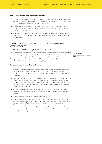#### **Other comments on individual raw materials:**

- • Cucumbers: In addition to reporting volumes for cucumbers in salads and gherkins, since 2015 we report figures for cucumbers used in our burger sauces as well as the cucumbers used in the pickling agent for gherkins.
- • Cheese: We regard cheese as a raw material. As such, the information on origin refers to the country in which the cheese was made. We do not report on the milk used to make the cheese.
- • Tomatoes: The volume of tomatoes includes tomatoes used in burgers and salads. As of 2015, we also report on tomatoes used in our sauces (e.g. in the form of tomato puree).

# Section 4: Restaurant-related environmental **MANAGEMENT**

# CARBON FOOTPRINT (SCOPE 1, 2 AND 3)

Due to their complexity, there is always a certain level of uncertainty involved in reporting climate-related figures. We continually strive to refine and improve our methods for determining our carbon footprint. In 2016, we changed our method of calculation, which means that figures for the reporting period cannot be compared with the figures from previous years. Our carbon footprint is calculated using  $\mathrm{CO}_2^{}$  equivalents.

#### GRI indicators: G4-EN15, G4-EN16, G4-EN17, G4-EN18

#### **Restaurant operation and administration**

- • Electricity consumption: Reported according to the GHGP scope 2 guidance. For location-based reporting, the emissions factor of the IEA (International Energy Agency) is used, and the supplier-specific emissions factor is used for market-based reporting.
- • Heating: The majority of our restaurants (81 percent) are heated by natural gas. The other restaurants use district heating, liquefied natural gas, heating oil and heat pumps. Consumption data is only collected centrally for natural gas, which is why we only include natural gas consumption in the emissions figures. The emissions factor of DEFRA is used.
- • Refrigerants: Consumption data is extrapolated. The IPCC is the source of the GWP factors (where available, 5th Assessment Report, otherwise 4th Assessment Report).
- • Waste: The emissions factors are sourced from DEFRA.
- • Water consumption: Not included because fresh water consumption figures are available for just eight percent of all restaurants and it is impossible to estimate at present how much of the fresh water is discharged again as waste water.
- • Business travel: This includes all flights, all long-distance train journeys with Deutsche Bahn and use of the vehicle fleet of McDonald's Germany. No other data on employee mobility is currently available.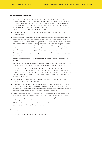#### **Agriculture and processing**

- • The emissions factors used were sourced from the ProBas database (processoriented basic data for environmental management tools), www.probas.umweltbundesamt.de/php/index.php). "2010 factors" were generally used. Wherever a raw material was mostly sourced from Germany, the corresponding DE factor from ProBas was used. If a raw material was largely sourced from the EU or the rest of the world, the corresponding EU factor was used.
- • If no suitable factors were available in ProBas, we used ADEME Version 6.1 in individual cases.
- • The overall aim is to record all relevant upstream chains in the agricultural production of our raw materials and the subsequent processing of the finished product. Once the finished products are transported to the distribution center, the emissions are covered in the calculations for logistics. In the first step, reporting was confined to the information available in the above-cited sources. There are plans to phase in the collection of additional data in a joint project with our main suppliers. This should close any remaining gaps and improve the factors used.
- • Transport: Generally speaking, transport was not included in the upstream stages examined.
- • Cooling: The information on cooling available in ProBas was not included in our report.
- • One reason for this was that its share was immaterial according to the ProBas data, and secondly, it was not clear exactly which cooling processes are covered.
- • Beef, chicken, pork: Generally speaking, the livestock breeding and slaughter stages are included. The downstream processing of cuts of meat into the finished product (beef patty, Chicken McNugget, etc.) is not included as of yet. It is assumed that for the named sources of protein, most emissions arise at the animal rearing and slaughter stages.
- • Dairy products, cheese: Generally speaking, the livestock breeding and dairy stages have been included up to now.
- • Tomatoes: So far, the reporting has only included cultivation carried out in glasshouses that are heated during the winter depending on region and outside temperature. It is assumed that the downstream processing into tomato puree/ketchup accounts for a large share of the corresponding emissions figure.
- • Lettuce, cucumbers, onions: Cultivation has been the only stage included to date. McDonald's Germany only uses lettuce and onions that are grown outside in fields. Cucumbers are grown in glasshouses that are heated during the winter depending on the region and outside temperature.
- • Oil: Cultivation and production are included. Since ProBas only has a factor for rapeseed oil, this was also used for sunflower oil.

### **Packaging and toys**

• The emissions factors are sourced from DEFRA.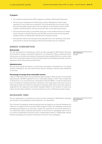#### **Transport**

- $\bullet$   $\text{CO}_2$  emissions generated by HAVI Logistics on behalf of McDonald's Germany
- • We only report refrigerants for distribution centers. Refrigerants used by fleet vehicles (to cool trucks) are not reported. This is because they are not part of the Environmental Key Figures report that was agreed on at European level by HAVI Logistics and McDonald's, and that forms the basis of the data reported here.
- • The reported time frame is calculated using the current emissions factor for diesel, which is based on the EU Directive and the EPA, and also serves as the standard emissions factor for McDonald's distributors in Europe and Asia.
- • The reported values were retrospectively adjusted due to the updating of the emissions factors to ensure that figures within the time frame can be compared.

# ENERGY CONSUMPTION

#### **Restaurants**

The ten restaurants in Luxembourg, which are also managed by McDonald's Germany, are included in energy consumption figures for our restaurants. When comparing restaurant groups, we include and evaluate all restaurant types equally (McDrive, in-store, satellites). The consumption patterns of the individual types vary (satellites generally consume less than in-store restaurants and McDrives).

#### **Administration**

We only have partial information on electricity and heating consumption for our administration buildings for the year under review. We are working to improve data availability in this area.

#### **Percentage of energy from renewable sources**

1,454 (of 1,480) restaurants were powered by green energy in 2016. In total, we purchased approximately 525,646 megawatt hours of renewable energy in 2016. This corresponds to 98 percent of our total electricity consumption (536,733 MWh). A mere 26 restaurants are not included in this figure (around 1.8 percent of all restaurants in Germany and Luxembourg) as these are located for example in shopping malls where the power supply is organized by the respective mall facility manager. Based on the number of stores over which we have direct influence, we have achieved a quota of 100 percent green energy.

# PACKAGING USED

The ten restaurants in Luxembourg, which are also managed by McDonald's Germany, are included in the packaging volume figures for our restaurants.

The volumes of packaging material reported here are based on an internal database provided by our logistics service provider HAVI Logistics GmbH. The database contains the packaging specifications (in particular weight and material) for all articles delivered to our restaurants. When collecting information on the amount of packaging used to serve our products, McDonald's Germany uses a cashier-based system to differentiate exactly between packaging for products consumed on site and 'to-go' packaging.

GRI indicators: G4-EN3

GRI indicators: G4-EN1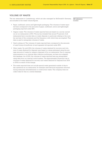# VOLUME OF WASTE

The ten restaurants in Luxembourg, which are also managed by McDonald's Germany, GRI indicators: are included in the waste volume figures.

- • Paper, cardboard, carton and lightweight packaging: The volumes of waste reported here correspond to the amounts of paper, cardboard, carton and lightweight packaging reported under EN1.
- • Organic waste: The volumes of waste reported here are based on a survey carried out at our restaurants in 2012. The survey revealed that around 75 percent of all restaurants have concrete data on waste disposal, in particular relating to the number and size of the containers and the frequency with which they are emptied. This data is used to extrapolate volumes of waste.
- • Used cooking oil: The volumes of waste reported here correspond to the amounts of used frying oil (sunflower oil and rapeseed oil) reported under EN1.
- • Other waste: Up until 2014, the volumes of waste destined for recovery and volumes of waste destined for disposal were based on values estimated using the average amounts of waste by category disposed of by our restaurants. Due to ongoing improvements in our internal data collection techniques, we have now adapted this database. As of 2015, the volumes of waste reported here are extrapolated using data from our internal control system. The approximately 25-percent rise in volumes of waste destined for recovery and waste destined for disposal from 2014 to 2015 is a result of this change.
- • The waste reported does not include special waste generated outside of day-today operations at our restaurants, for example used electrical equipment removed during restaurant refurbishments or construction waste. The company does not collect data for this in a central database.

G4-EN23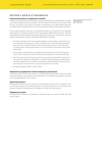# Section 5: People at McDonald's

#### **General information on employment numbers**

It should be noted that figures relating to workers employed by our franchisees are based on the data supplied by our franchisees. This information is provided on a voluntary basis. As such, some data in this report only refers to restaurants run by McDonald's Germany (company-owned restaurants) and to the administration offices of McDonald's Germany.

This is clearly stated in each case. The employee figures do not include the ten franchise restaurants in Luxembourg, which are also managed by McDonald's Germany. The standard definitions used internally throughout McDonald's Germany were used as a general basis for employment numbers reported by McDonald's Germany.

- • To ensure that figures can be compared globally across the Group, only data for active employees was reported. As such, the figures do not include those employees who were on non-paid sick leave on the reporting date, those on maternity leave or parental leave, taking unpaid leave or in any other kind of dormant employment relationship.
- • The number of administration employees reported here does not include apprentices, student trainees or interns working in administration on the reporting date.
- • Due to the internal sale of restaurants from franchisees to McDonald's Germany or vice versa, the number of employees of company-owned/franchisee restaurants as reported in relation to the number of company-owned/franchisee restaurants may not be entirely accurate (with a variance of less than one percent).
- • All employee figures relate to head counts.

#### **Employees by employment contract (temporary/permanent)**

The system used to collect information on employee figures generally document contractual terms based on the position and not the person. It is therefore not possible to provide any meaningful figures in this context.

#### **Supervised workers**

McDonald's Germany does not employ any supervised workers who are obliged to comply with instructions in the restaurants that it runs directly. Less than one percent of employees working in administration are obliged to comply with instructions.

#### **Employees by region**

As McDonald's Germany only operates in Germany, there is no need to break down figures by region.

GRI indicators: G4-10, G4-LA12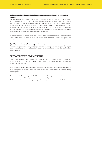### **Self-employed workers or individuals who are not employees or supervised workers**

238 franchisees (198 men and 40 women) operated a total of 1,313 McDonald's restaurants in Germany in 2016. The franchisees operate locally under the common McDonald's brand umbrella as legally recognized independent contractors. Our franchisees employed a total of 49,860 people. Figures relating to workers employed by franchisees are based on the data supplied voluntarily by our franchisees. This includes information on the total number of restaurant employees (broken down into restaurant management and crew) as well as data on trainees and employees with disabilities.

In the restaurants operated directly by McDonald's Germany and in the administration offices of McDonald's Germany, no substantial share of the work is carried out by workers who fall under the above definition.

#### **Significant variations in employment numbers**

There are no significant variations in the number of employees who work in the restaurants operated directly by McDonald's Germany or in the administration offices of McDonald's Germany.

# Retrospective adjustments

We continually develop our internal corporate responsibility control system. This also entails constantly improving our internal data collection processes and key performance indicator (KPI) definitions.

If we identify a way of improving data quality or availability of certain key indicators, or if we change our calculation methods, we also adjust the respective KPIs retrospectively for past years.

We adjust indicators retrospectively if the new method or input causes an indicator's value to differ by at least three percent from the previous figure.

We have explicitly referenced any retrospective changes to indicators in the footnotes.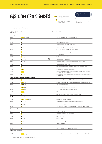# **GRI CONTENT INDEX**

**PDF** Corporate Responsibility<br>Report 2015

Corporate Responsibility Report 2016 – At a Glance; Facts & Figures



Report 2015 This report was prepared in ac-cordance with the core option of the G4 guidelines of the Global Reporting Initiative (GRI).

| General standard disclosures |  |
|------------------------------|--|
|------------------------------|--|

| General standard<br>disclosures | Page                                              | External assurance* | Description                                                                                           |
|---------------------------------|---------------------------------------------------|---------------------|-------------------------------------------------------------------------------------------------------|
| <b>Strategy and analysis</b>    |                                                   |                     |                                                                                                       |
| $G4-1$                          | PDF 2015: p. 3                                    |                     | Introduction from the Managing Director                                                               |
| <b>Organizational profile</b>   |                                                   |                     |                                                                                                       |
| G4-3                            | $\bullet$ p. 4                                    |                     | Name of the organization                                                                              |
| G4-4                            | $\bullet$ p. 4                                    |                     | Primary brands, products, and services                                                                |
| $G4-5$                          | $\bullet$ p. 4                                    |                     | Location of organization's headquarters                                                               |
| G4-6                            | $\bullet$ p. 4                                    |                     | Countries where the organization operates                                                             |
| G4-7                            | $\bullet$ p. 4                                    |                     | Nature of ownership and legal form                                                                    |
| $G4-8$                          | $\bullet$ p. 4                                    |                     | Markets served                                                                                        |
| G4-9                            | $\bullet$ p. 4, 19                                |                     | Scale of the organization                                                                             |
| G4-10                           | $\bullet$ p. 4, 19, 28                            | ASSURED<br>M        | Total number of employees                                                                             |
| G4-11                           | $\bullet$ p. 22                                   | ÷,                  | Employees covered by collective bargaining agreements                                                 |
| G4-12                           | $\bullet$ p. 7                                    | ÷.                  | Organization's supply chain                                                                           |
| G4-13                           | $\bullet$ p. 4                                    |                     | Changes regarding size, structure, ownership, or supply chain                                         |
| G4-14                           | PDF $p.11$                                        |                     | Precautionary approach or principle                                                                   |
| G4-15                           | PDF $p.12$                                        |                     | Externally developed economic, environmental and social charters,<br>principles, or other initiatives |
| G4-16                           | $\bullet$ p. 22                                   |                     | Memberships of associations and national or international advocacy<br>organizations                   |
|                                 | <b>Identified material aspects and boundaries</b> |                     |                                                                                                       |
| G4-17                           | $\bullet$ p. 4                                    |                     | Entities included in consolidated financial statement                                                 |
| G4-18                           | $PDF$ p. $6$                                      |                     | Process for defining the report content and the Aspect Boundaries                                     |
| G4-19                           | PDF $p.6$                                         |                     | List of material aspects                                                                              |
| G4-20                           | PDF $p.6$                                         |                     | Material aspects within the organization                                                              |
| G4-21                           | PDF $p.6$                                         |                     | Material aspects outside the organization                                                             |
| G4-22                           | PDF $p.5$                                         |                     | Effects of restatements of information                                                                |
| G4-23                           | $\bullet$ p. 4                                    |                     | Significant changes from previous reporting periods                                                   |
| <b>Stakeholder engagement</b>   |                                                   |                     |                                                                                                       |
| G4-24                           | <b>PDF</b> p. 8; $\circledcirc$ p. 9, 11          |                     | Stakeholder groups engaged                                                                            |
| G4-25                           | $\bullet$ p. 9, 11                                |                     | Basis for identification and selection of stakeholders                                                |
| G4-26                           | $\bullet$ p. 9, 11                                |                     | Organization's approach to stakeholder engagement                                                     |
| G4-27                           | $\bullet$ p. 9, 11                                |                     | Key topics and concerns raised through stakeholder engagement                                         |
| <b>Report profile</b>           |                                                   |                     |                                                                                                       |
| G4-28                           | $\bullet$ p. 3                                    |                     | Reporting period                                                                                      |
| G4-29                           | $\bullet$ p. 3                                    |                     | Date of most recent previous report                                                                   |
| G4-30                           | $\bullet$ p. 3                                    |                     | Reporting cycle                                                                                       |
| G4-31                           | $\bullet$ p. 37                                   |                     | Contact point                                                                                         |
| G4-32                           | $\bullet$ p. 3                                    |                     | "In accordance" option                                                                                |
| G4-33                           | $\bullet$ p. 3                                    |                     | External assurance                                                                                    |
| Governance                      |                                                   |                     |                                                                                                       |
| G4-34                           | $\bullet$ p. 5                                    |                     | Governance structure of the organization                                                              |
| <b>Ethics and integrity</b>     |                                                   |                     |                                                                                                       |
| G4-56                           | <b>PDF</b> p. 11, 12                              |                     | Organization's values, principles, standards and norms of behavior                                    |

\*Indicators marked with " - " have not been audited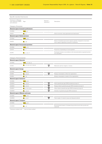|                                                                | Specific standard disclosures                 |                                    |                                                                                                                         |
|----------------------------------------------------------------|-----------------------------------------------|------------------------------------|-------------------------------------------------------------------------------------------------------------------------|
| Disclosure on Manage-<br>ment Approach (DMA)<br>and indicators | Page                                          | External<br>assurance*             | Description                                                                                                             |
| Category: Economic                                             |                                               |                                    |                                                                                                                         |
|                                                                | <b>Material aspect: Economic performance</b>  |                                    |                                                                                                                         |
| G4-DMA                                                         | PDF $p.9$                                     |                                    |                                                                                                                         |
| G4-EC1                                                         | $\bullet$ p. 4                                |                                    | Direct economic value generated and distributed                                                                         |
|                                                                | <b>Material aspect: Market presence</b>       |                                    |                                                                                                                         |
| G4-DMA                                                         | PDF $p.46$                                    |                                    |                                                                                                                         |
| G4-EC5                                                         | $\bullet$ p. 22                               |                                    | Ratios of standard entry-level wage by gender compared to local mini-<br>mum wage at significant locations of operation |
|                                                                | <b>Material aspect: Procurement practices</b> |                                    |                                                                                                                         |
| G4-DMA                                                         | PDF $p.16$                                    |                                    |                                                                                                                         |
| G4-EC9                                                         | $\bullet$ p. 7                                |                                    | Proportion of spending on local suppliers                                                                               |
| G4-FP2                                                         | <b>O</b> p. 9, 10, 17                         |                                    | Purchased volume in accordance with internationally recognized produc-<br>tion standards                                |
| Category: Environmental                                        |                                               |                                    |                                                                                                                         |
| <b>Material aspect: Materials</b>                              |                                               |                                    |                                                                                                                         |
| G4-DMA                                                         | <b>PDF</b> p. 16, 36, 41                      |                                    |                                                                                                                         |
| G4-EN1                                                         | <b>O</b> p. 7, 9, 10, 13, 17, 23, 26          | <u>ASSURED</u><br>M                | Materials used by weight or volume                                                                                      |
| <b>Material aspect: Energy</b>                                 |                                               |                                    |                                                                                                                         |
| G4-DMA                                                         | PDF $p.36$                                    |                                    |                                                                                                                         |
| G4-EN3                                                         | $\bullet$ p. 15, 26                           | ASSURED<br>$\overline{\mathbf{z}}$ | Energy consumption within the organization                                                                              |
| G4-EN4                                                         | $\bullet$ p. 16                               | ٠                                  | Energy consumption outside of the organization                                                                          |
| <b>Material aspect: Emissions</b>                              |                                               |                                    |                                                                                                                         |
| G4-DMA                                                         | PDF $p.36$                                    |                                    |                                                                                                                         |
| G4-EN15                                                        | $\bullet$ p. 14, 24                           | ASSURED<br>⊠                       | Direct greenhouse gas (GHG) emissions (scope 1)                                                                         |
| G4-EN16                                                        | $\bullet$ p. 14, 24                           | ASSURED<br>⊠                       | Energy indirect greenhouse gas (GHG) emissions (scope 2)                                                                |
| G4-EN17                                                        | <b>O</b> p. 9, 14, 16, 24                     | <u>ASSURED</u><br>V                | Other indirect greenhouse gas (GHG) emissions (scope 3)                                                                 |
| G4-EN18                                                        | <b>O</b> p. 14, 24                            | ASSURED<br>⊠                       | Intensity of greenhouse gas (GHG) emissions                                                                             |
|                                                                | <b>Material aspect: Effluents and waste</b>   |                                    |                                                                                                                         |
| G4-DMA                                                         | PDF $p.36$                                    |                                    |                                                                                                                         |
| G4-EN23                                                        | $\bullet$ p. 17, 27                           | <u>ASSURED</u><br>区                | Total weight of waste by type and disposal method                                                                       |
| <b>Material aspect: Transport</b>                              |                                               |                                    |                                                                                                                         |
| G4-DMA                                                         | PDF $p.40$                                    |                                    |                                                                                                                         |
| G4-EN30                                                        | $\bullet$ p. 16                               |                                    | Environmental impact of transporting products and other goods and<br>materials                                          |

 $^\ast\!$  Indicators marked with " - " have not been audited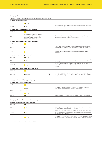| Category: Social |                                                                                                                                                        |                                   |                                                                                                                                                                                        |
|------------------|--------------------------------------------------------------------------------------------------------------------------------------------------------|-----------------------------------|----------------------------------------------------------------------------------------------------------------------------------------------------------------------------------------|
|                  | Category: Social - Subcategory: Labor practices and decent work                                                                                        |                                   |                                                                                                                                                                                        |
|                  | <b>Material aspect: Employment</b>                                                                                                                     |                                   |                                                                                                                                                                                        |
| G4-DMA           | PDF $p.46$                                                                                                                                             |                                   |                                                                                                                                                                                        |
| G4-LA2           | $\bullet$ p. 22                                                                                                                                        |                                   | Benefits provided to full-time employees that are not provided to tempora-<br>ry or part-time employees                                                                                |
|                  | <b>Material aspect: Labor/management relations</b>                                                                                                     |                                   |                                                                                                                                                                                        |
| G4-DMA           | PDF $p.46$                                                                                                                                             |                                   |                                                                                                                                                                                        |
| $G4-I.A4$        | The minimum notice period for opera-<br>tional changes is four weeks (regulated<br>by law, not set down in the existing<br>collective wage agreement). |                                   | Minimum notice periods regarding operational changes, including whe-<br>ther these are specified in collective agreements                                                              |
|                  | <b>Material aspect: Occupational health and safety</b>                                                                                                 |                                   |                                                                                                                                                                                        |
| G4-DMA           | PDF $p.53$                                                                                                                                             |                                   |                                                                                                                                                                                        |
| G4-LA6           | $\bullet$ p. 22                                                                                                                                        |                                   | Type of injury and rates of injury, occupational diseases, lost days, and<br>absenteeism, and total number of work-related fatalities, by region and by<br>gender                      |
| G4-LA7           | $\bullet$ p. 22                                                                                                                                        |                                   | Workers with high incidence or high risk of diseases related to their<br>occupation                                                                                                    |
|                  | <b>Material aspect: Training and education</b>                                                                                                         |                                   |                                                                                                                                                                                        |
| G4-DMA           | PDF $p.46$                                                                                                                                             |                                   |                                                                                                                                                                                        |
| G4-LA9           | $\bullet$ p. 21                                                                                                                                        |                                   | Average hours of training per year per employee by gender, and by emplo-<br>yee category                                                                                               |
| G4-LA10          | $\bullet$ p. 20, 21                                                                                                                                    |                                   | Programs for skills management and lifelong learning that support the<br>continued employability of employees and assist them in managing career<br>endings                            |
|                  | <b>Material aspect: Diversity and equal opportunity</b>                                                                                                |                                   |                                                                                                                                                                                        |
| G4-DMA           | PDF $p.46$                                                                                                                                             |                                   |                                                                                                                                                                                        |
| G4-LA12          | <b>O</b> p. 5, 20, 28                                                                                                                                  | <u>ASSURED</u><br>$\triangledown$ | Composition of governance bodies and breakdown of employees per<br>employee category according to gender, age group, minority group mem-<br>bership, and other indicators of diversity |
|                  | Category: Social - Subcategory: Society                                                                                                                |                                   |                                                                                                                                                                                        |
|                  | <b>Material aspect: Local communities</b>                                                                                                              |                                   |                                                                                                                                                                                        |
| G4-DMA           | <b>PDF</b> p. $44, 55$                                                                                                                                 |                                   |                                                                                                                                                                                        |
| G4-SO1           | $\circ$ p. 6, 20                                                                                                                                       |                                   | Percentage of operations with implemented local community engage-<br>ment, impact assessments, and development programs                                                                |
|                  | <b>Material aspect: Anti-corruption</b>                                                                                                                |                                   |                                                                                                                                                                                        |
| G4-DMA           | PDF $p.12$                                                                                                                                             |                                   |                                                                                                                                                                                        |
| G4-SO4           | PDF $p.12$                                                                                                                                             |                                   | Communication and training on anti-corruption policies and procedures                                                                                                                  |
|                  | Category: Social – Subcategory: Product responsibility                                                                                                 |                                   |                                                                                                                                                                                        |
|                  | <b>Material aspect: Customer health and safety</b>                                                                                                     |                                   |                                                                                                                                                                                        |
| G4-DMA           | PDF $p.27$                                                                                                                                             |                                   |                                                                                                                                                                                        |
| G4-PR1           | $\bullet$ p. 11                                                                                                                                        |                                   | Percentage of significant product and service categories for which health<br>and safety impacts are assessed for improvement                                                           |
| G4-FP5           | $\bullet$ p. 9, 11                                                                                                                                     |                                   | Percentage of production volume manufactured in sites certified by an in-<br>dependent third party according to internationally recognized food safety<br>management system standards  |

G4-FP6 **PDF** p. 30 **PDF** p. 30 **PDF** p. 30 **PERCEPT CALL SAM** Percentage of total sales volume of consumer products, by product catego-<br>ry, that are lowered in saturated fat, trans fats, sodium and added sugars

\*Indicators marked with " - " have not been audited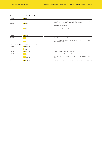|          | <b>Material aspect: Product and service labelling</b> |                                                                                                                                                                                                                                                    |
|----------|-------------------------------------------------------|----------------------------------------------------------------------------------------------------------------------------------------------------------------------------------------------------------------------------------------------------|
| G4-DMA   | PDF $p.27$                                            |                                                                                                                                                                                                                                                    |
| G4-PR3   | PDF $p.32$                                            | Type of product and service information required by the organization's<br>procedures for product and service information and labeling, and<br>percentage of significant product and service categories subject to such<br>information requirements |
| G4-PR5   | $\bullet$ p. 11                                       | Results of surveys measuring customer satisfaction                                                                                                                                                                                                 |
|          |                                                       |                                                                                                                                                                                                                                                    |
|          | <b>Material aspect: Marketing communications</b>      |                                                                                                                                                                                                                                                    |
| $G4-DMA$ | PDF $p.34$                                            |                                                                                                                                                                                                                                                    |
| G4-PR6   | PDF $p.32$                                            | Sale of banned or disputed products                                                                                                                                                                                                                |
| G4-PR7   | PDF $p.34$                                            | Non-compliance with regulations and voluntary codes concerning marke-<br>ting communications                                                                                                                                                       |
|          | Material aspect (sector disclosures): Animal welfare  |                                                                                                                                                                                                                                                    |
| G4-DMA   | <b>PDF</b> p. 16, 21, 23                              |                                                                                                                                                                                                                                                    |
| G4-FP9   | $\bullet$ p. 7, 9                                     | Animals raised and/or processed                                                                                                                                                                                                                    |
| G4-FP10  | <b>PDF</b> $p. 21, 23$                                | Physical alterations and use of anesthetic                                                                                                                                                                                                         |
| G4-FP11  | <b>PDF</b> p. 21, 23                                  | Animals raised and/or processed by species and breed type                                                                                                                                                                                          |
| G4-FP12  | <b>PDF</b> $p. 21, 23$                                | Antibiotic, anti-inflammatory, hormone and/or growth promotion treat-<br>ments                                                                                                                                                                     |
| G4-FP13  | <b>PDF</b> $p. 21, 23$                                | Non-compliance related to transportation, handling and slaughter practices                                                                                                                                                                         |

\*Indicators marked with " - " have not been audited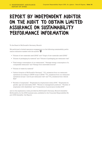# **Report by independent auditor on the audit to obtain limited assurance on sustainability performance information**

To the Board of McDonald's Germany, Munich

We performed a limited assurance engagement on the following sustainability performance indicators marked with the symbol

- • "Volume of raw materials used (2016)" and "Origin of raw materials used (2016)"
- • Volume of packaging by material" and "Volume of packaging per restaurant visit"
- • "Total energy consumption of our restaurants", "Average energy consumption of a comparable restaurant" and "Energy from renewable sources"
- • "Volume of waste by material"
- "Carbon footprint of McDonald's Germany", "CO<sub>2</sub> emissions from our restaurant operations according to GHGP scope 2 (2016)" "CO $_{\textrm{\tiny{2}}}$  emissions from our restaurant operations (scope 1 and 2) per restaurant visit" and "CO<sub>2</sub> emissions from vehicle  $f$  $\rho$  $\alpha$ <sup>"</sup>
- • "Number of employees", "Employees by employment status 2016", "Employees by gender, age and nationality 2016", "Women in management positions", "Number of employees with disabilities" and "Composition of governance bodies 2016"

and on the explanatory notes provided by McDonald's Germany, Munich (hereafter: McDonald's), for the 2016 business year, published in the Corporate Responsibility Report 2016 (hereafter: the Report).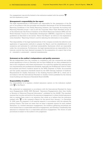Our engagement was strictly limited to the indicators marked with the symbol and the explanatory notes.

### **Management's responsibility for the report**

The legal representatives of McDonald's are responsible for the preparation of the Report in accordance with the principles and standard disclosures of the G4 Sustainability Reporting Guidelines of the Global Reporting Initiative, the Corporate Accounting and Reporting Standard (scope 1 and 2) and the Corporate Value Chain Standard (scope 3) of the Greenhouse Gas Protocol Initiative of the World Resources Institute (WRI) and the World Business Council for Sustainable Development (WBCSD), supported by internal guidelines as described in the section "About this Report" as well as in the explanatory notes (hereafter: "Reporting Criteria"), and for selecting the information to be audited.

This responsibility of the legal representatives of the company includes the selection and application of appropriate methods to prepare the Report, and the establishment of assumptions and estimates for individual sustainability disclosures which are reasonable under the circumstances. Furthermore, the legal representatives are responsible for the internal controls they have deemed necessary for the preparation of a report that is free of – intended or unintended – material misstatements.

#### **Statement on the auditor's independence and quality assurance**

We are independent from the company in compliance with the commercial and professional regulations in force in Germany and we have fulfilled all our other professional duties in due compliance with these requirements. Our audit firm applies the national statutory requirements and professional standards, especially the Professional Code for Public Accountants and Sworn Auditors issued by the WPK (Chamber of Public Accountants) and the quality assurance standards issued by the IDW (German Institute of Auditors): Requirements for Quality Assurance in the Auditing Practice (IDW QS 1), which are in accordance with the International Standard on Quality Control published by the International Auditing and Assurance Standards Board (IAASB).

#### **Responsibility of auditor**

Our responsibility is to express a limited assurance opinion on the indicators marked with  $\frac{MSEED}{\sqrt{N}}$  in the Report.

We conducted our assessment in accordance with the International Standard for Assurance Engagements (ISAE) 3000 (Revised): "Assurance Engagements other than Audits or Reviews of Historical Financial Information", published by the IAASB. This standard requires that we plan and perform the assurance engagement to obtain limited assurance that no matters have come to our attention that cause us to believe that the indicators marked with  $\frac{u\sin\theta}{\sqrt{r}}$  in the company's Report for the period from January 1 to December 31, 2016 were not prepared, in all material respects, in accordance with the relevant Reporting Criteria. This does not mean that we issue a separate opinion for each marked disclosure. In a limited assurance engagement, the evidence gathering procedures are more limited than in a reasonable assurance engagement, and therefore considerably less assurance is obtained than in a reasonable assurance engagement. The choice of audit procedures is subject to the auditor's own judgement.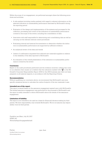Within the scope of our engagement, we performed amongst others the following procedures and activities:

- • A risk analysis (including media analysis) with regard to relevant information on the selected indicators on sustainability performance disclosed by McDonald's during the reporting period
- • Evaluation of the design and implementation of the systems and processes for the collection, processing and control of the indicators on sustainability performance covered in the scope of the review, including the consolidation of data
- • Interviews with staff responsible for determining and consolidating data as well as carrying out the relevant internal control procedures
- • Evaluating internal and external documentation to determine whether the indicators on sustainability performance are supported by sufficient evidence
- • An analytical review of the data and trends
- • Letters of confirmation requested from selected raw materials suppliers in relation to the reliability of the data reported to McDonald's
- • An evaluation of the overall presentation of the indicators on sustainability performance covered by the review

#### **Conclusion**

Based on the audit procedures performed and the evidence received, nothing has come to our attention that causes us to believe that the indicators marked with  $\frac{180000}{\sigma}$  in the Mc-Donald's Corporate Responsibility Report 2016 for the 2016 business year have not been prepared, in all material respects, in accordance with the Reporting Criteria.

#### **Recommendation**

Without qualifying our conclusion above, we recommend that McDonald's use more specific emissions factors to calculate the carbon footprint of the raw materials it uses.

#### **Intended use of the report**

This report is issued based on the assurance engagement agreed upon with McDonald's. The limited assurance engagement was performed for the purposes of McDonald's and the report is solely intended to inform McDonald's about the results of the assurance engagement.

#### **Limitation of liability**

The report is not intended to be used as a basis for (financial) decision-making by third parties. We have responsibility only towards McDonald's. We do not assume any responsibility vis-à-vis third parties.

Frankfurt am Main, July 26, 2017 KPMG AG Wirtschaftsprüfungsgesellschaft

ppa. Auer